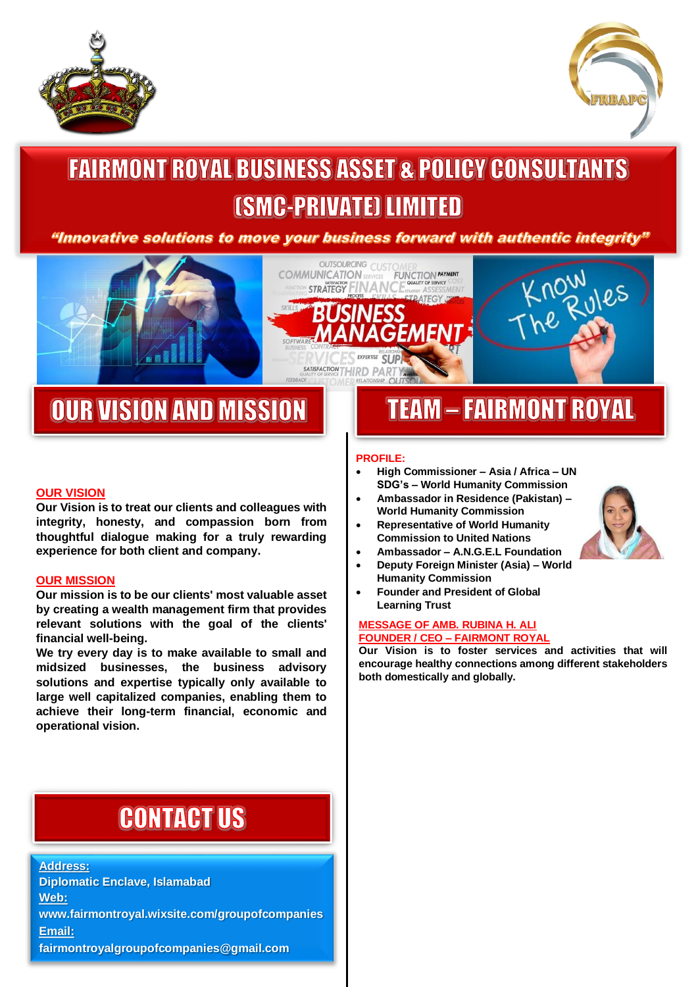



# **FAIRMONT ROYAL BUSINESS ASSET & POLICY CONSULTANTS** *[SMC-PRIVATE] LIMITED*

"Innovative solutions to move your business forward with authentic integrity"



## **OUR VISION AND MISSION**

#### **OUR VISION**

i

**Our Vision is to treat our clients and colleagues with integrity, honesty, and compassion born from thoughtful dialogue making for a truly rewarding experience for both client and company.**

#### **OUR MISSION**

**Our mission is to be our clients' most valuable asset by creating a wealth management firm that provides relevant solutions with the goal of the clients' financial well-being.**

**We try every day is to make available to small and midsized businesses, the business advisory solutions and expertise typically only available to large well capitalized companies, enabling them to achieve their long-term financial, economic and operational vision.**

## **CONTACT US**

**Address: Diplomatic Enclave, Islamabad Web: www.fairmontroyal.wixsite.com/groupofcompanies Email: fairmontroyalgroupofcompanies@gmail.com**

## **TEAM - FAIRMONT ROYAL**

#### **PROFILE:**

- **High Commissioner – Asia / Africa – UN SDG's – World Humanity Commission**
- **Ambassador in Residence (Pakistan) – World Humanity Commission**
- **Representative of World Humanity Commission to United Nations**
- **Ambassador – A.N.G.E.L Foundation**
- **Deputy Foreign Minister (Asia) – World Humanity Commission**
- **Founder and President of Global Learning Trust**

#### **MESSAGE OF AMB. RUBINA H. ALI FOUNDER / CEO – FAIRMONT ROYAL**

**Our Vision is to foster services and activities that will encourage healthy connections among different stakeholders both domestically and globally.**